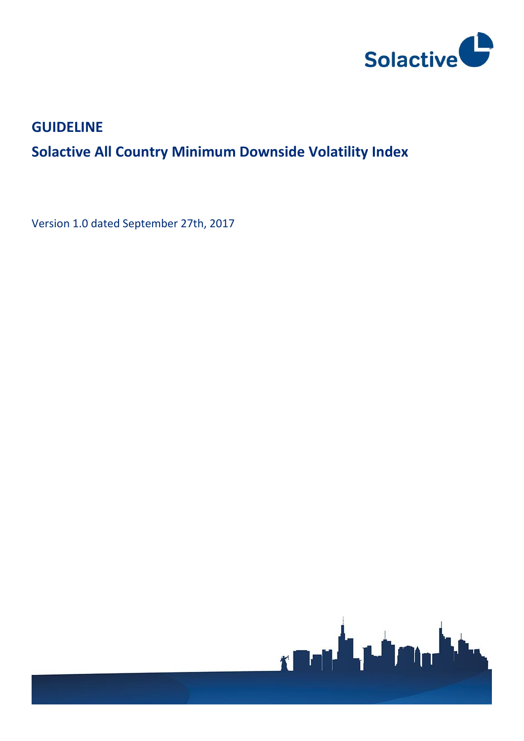

# **GUIDELINE**

# **Solactive All Country Minimum Downside Volatility Index**

Version 1.0 dated September 27th, 2017

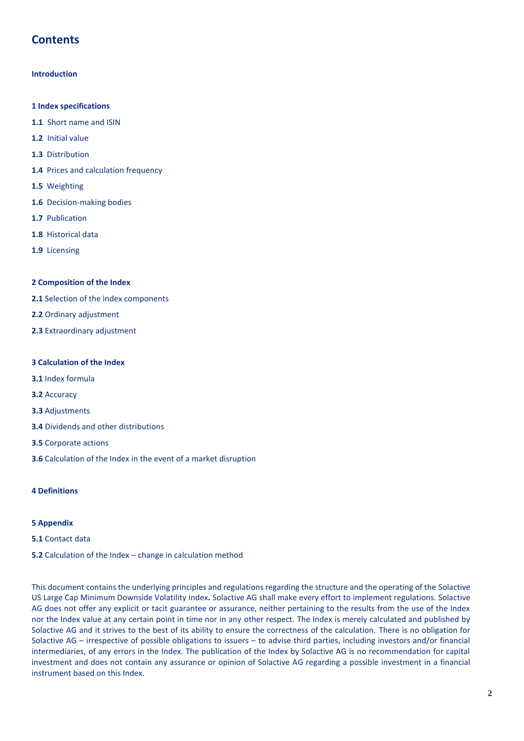# **Contents**

# **Introduction**

- **1 Index specifications**
- **1.1** Short name and ISIN
- **1.2** Initial value
- **1.3** Distribution
- **1.4** Prices and calculation frequency
- **1.5** Weighting
- **1.6** Decision-making bodies
- **1.7** Publication
- **1.8** Historical data
- **1.9** Licensing

### **2 Composition of the Index**

- **2.1** Selection of the index components
- **2.2** Ordinary adjustment
- **2.3** Extraordinary adjustment

## **3 Calculation of the Index**

- **3.1** Index formula
- **3.2** Accuracy
- **3.3** Adjustments
- **3.4** Dividends and other distributions
- **3.5** Corporate actions
- **3.6** Calculation of the Index in the event of a market disruption

# **4 Definitions**

### **5 Appendix**

**5.1** Contact data

### **5.2** Calculation of the Index – change in calculation method

This document contains the underlying principles and regulations regarding the structure and the operating of the Solactive US Large Cap Minimum Downside Volatility Index*.* Solactive AG shall make every effort to implement regulations. Solactive AG does not offer any explicit or tacit guarantee or assurance, neither pertaining to the results from the use of the Index nor the Index value at any certain point in time nor in any other respect. The Index is merely calculated and published by Solactive AG and it strives to the best of its ability to ensure the correctness of the calculation. There is no obligation for Solactive AG – irrespective of possible obligations to issuers – to advise third parties, including investors and/or financial intermediaries, of any errors in the Index. The publication of the Index by Solactive AG is no recommendation for capital investment and does not contain any assurance or opinion of Solactive AG regarding a possible investment in a financial instrument based on this Index.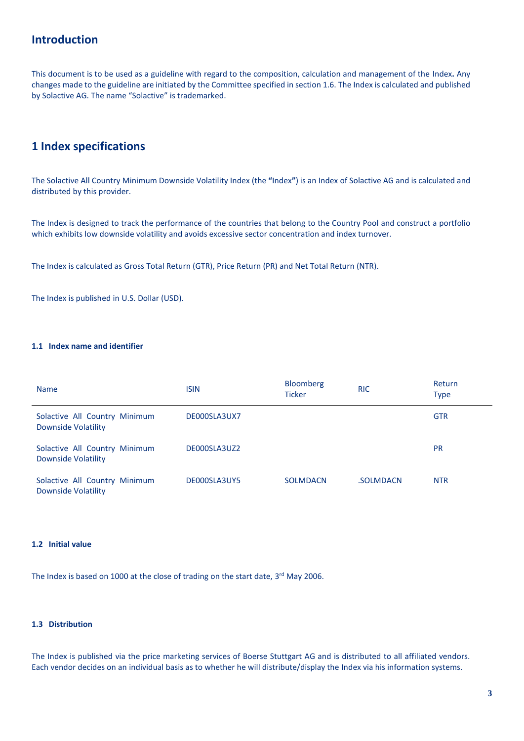# **Introduction**

This document is to be used as a guideline with regard to the composition, calculation and management of the Index**.** Any changes made to the guideline are initiated by the Committee specified in section 1.6. The Index is calculated and published by Solactive AG. The name "Solactive" is trademarked.

# **1 Index specifications**

The Solactive All Country Minimum Downside Volatility Index (the **"**Index**"**) is an Index of Solactive AG and is calculated and distributed by this provider.

The Index is designed to track the performance of the countries that belong to the Country Pool and construct a portfolio which exhibits low downside volatility and avoids excessive sector concentration and index turnover.

The Index is calculated as Gross Total Return (GTR), Price Return (PR) and Net Total Return (NTR).

The Index is published in U.S. Dollar (USD).

# **1.1 Index name and identifier**

| <b>Name</b>                                                 | <b>ISIN</b>  | <b>Bloomberg</b><br><b>Ticker</b> | <b>RIC</b> | Return<br><b>Type</b> |
|-------------------------------------------------------------|--------------|-----------------------------------|------------|-----------------------|
| Solactive All Country Minimum<br><b>Downside Volatility</b> | DE000SLA3UX7 |                                   |            | <b>GTR</b>            |
| Solactive All Country Minimum<br>Downside Volatility        | DE000SLA3UZ2 |                                   |            | <b>PR</b>             |
| Solactive All Country Minimum<br>Downside Volatility        | DE000SLA3UY5 | <b>SOLMDACN</b>                   | .SOLMDACN  | <b>NTR</b>            |

# **1.2 Initial value**

The Index is based on 1000 at the close of trading on the start date, 3<sup>rd</sup> May 2006.

### **1.3 Distribution**

The Index is published via the price marketing services of Boerse Stuttgart AG and is distributed to all affiliated vendors. Each vendor decides on an individual basis as to whether he will distribute/display the Index via his information systems.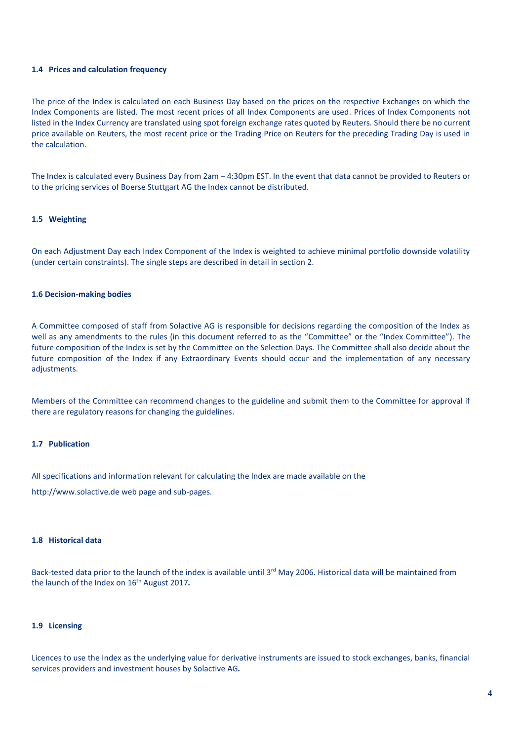### **1.4 Prices and calculation frequency**

The price of the Index is calculated on each Business Day based on the prices on the respective Exchanges on which the Index Components are listed. The most recent prices of all Index Components are used. Prices of Index Components not listed in the Index Currency are translated using spot foreign exchange rates quoted by Reuters. Should there be no current price available on Reuters, the most recent price or the Trading Price on Reuters for the preceding Trading Day is used in the calculation.

The Index is calculated every Business Day from 2am – 4:30pm EST. In the event that data cannot be provided to Reuters or to the pricing services of Boerse Stuttgart AG the Index cannot be distributed.

### **1.5 Weighting**

On each Adjustment Day each Index Component of the Index is weighted to achieve minimal portfolio downside volatility (under certain constraints). The single steps are described in detail in section 2.

#### **1.6 Decision-making bodies**

A Committee composed of staff from Solactive AG is responsible for decisions regarding the composition of the Index as well as any amendments to the rules (in this document referred to as the "Committee" or the "Index Committee"). The future composition of the Index is set by the Committee on the Selection Days. The Committee shall also decide about the future composition of the Index if any Extraordinary Events should occur and the implementation of any necessary adjustments.

Members of the Committee can recommend changes to the guideline and submit them to the Committee for approval if there are regulatory reasons for changing the guidelines.

### **1.7 Publication**

All specifications and information relevant for calculating the Index are made available on the

http://www.solactive.de web page and sub-pages.

### **1.8 Historical data**

Back-tested data prior to the launch of the index is available until 3<sup>rd</sup> May 2006. Historical data will be maintained from the launch of the Index on 16 th August 2017*.* 

#### **1.9 Licensing**

Licences to use the Index as the underlying value for derivative instruments are issued to stock exchanges, banks, financial services providers and investment houses by Solactive AG*.*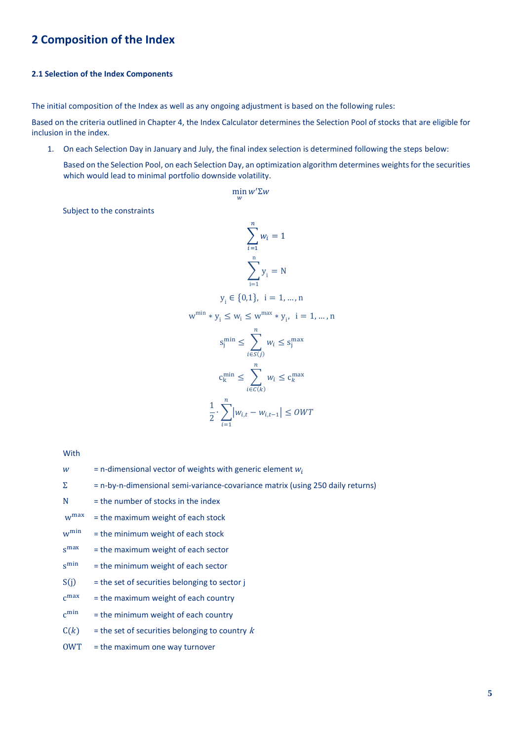# **2 Composition of the Index**

# **2.1 Selection of the Index Components**

The initial composition of the Index as well as any ongoing adjustment is based on the following rules:

Based on the criteria outlined in Chapter 4, the Index Calculator determines the Selection Pool of stocks that are eligible for inclusion in the index.

1. On each Selection Day in January and July, the final index selection is determined following the steps below:

Based on the Selection Pool, on each Selection Day, an optimization algorithm determines weights for the securities which would lead to minimal portfolio downside volatility.

$$
\min_w w' \Sigma w
$$

Subject to the constraints

$$
\sum_{i=1}^{n} w_i = 1
$$
\n
$$
\sum_{i=1}^{n} y_i = N
$$
\n
$$
y_i \in \{0,1\}, \quad i = 1, \ldots, n
$$
\n
$$
w^{\min} * y_i \le w_i \le w^{\max} * y_i, \quad i = 1, \ldots, n
$$
\n
$$
s^{\min}_j \le \sum_{i \in S(j)}^n w_i \le s^{\max}_j
$$
\n
$$
c^{\min}_k \le \sum_{i \in C(k)}^n w_i \le c^{\max}_k
$$
\n
$$
\frac{1}{2} \cdot \sum_{i=1}^n |w_{i,t} - w_{i,t-1}| \le \text{OWT}
$$

With

| w          | $=$ n-dimensional vector of weights with generic element $w_i$                 |
|------------|--------------------------------------------------------------------------------|
| Σ          | = n-by-n-dimensional semi-variance-covariance matrix (using 250 daily returns) |
| N          | $=$ the number of stocks in the index                                          |
| $w^{max}$  | = the maximum weight of each stock                                             |
| $w^{\min}$ | = the minimum weight of each stock                                             |
| $s^{max}$  | = the maximum weight of each sector                                            |
| $s^{\min}$ | = the minimum weight of each sector                                            |
| S(j)       | $=$ the set of securities belonging to sector $\mathbf{i}$                     |
| $c^{max}$  | = the maximum weight of each country                                           |
| $c^{min}$  | = the minimum weight of each country                                           |
| C(k)       | $=$ the set of securities belonging to country k                               |
| <b>OWT</b> | = the maximum one way turnover                                                 |
|            |                                                                                |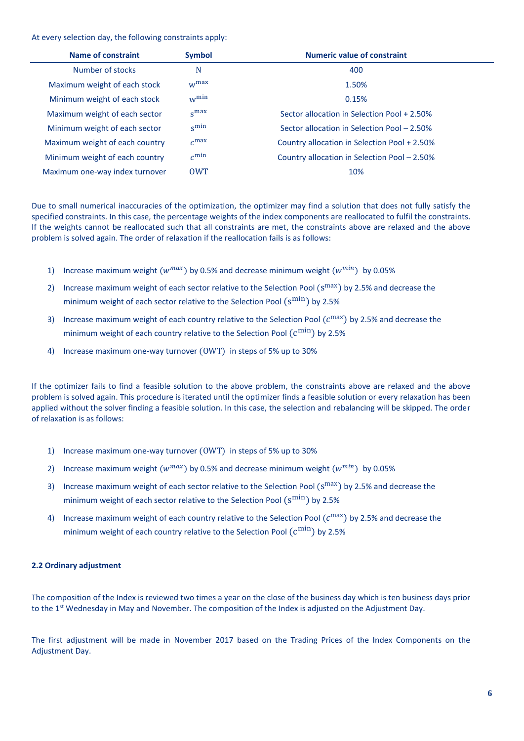At every selection day, the following constraints apply:

| Name of constraint                                                                          | <b>Symbol</b>    | <b>Numeric value of constraint</b>           |  |
|---------------------------------------------------------------------------------------------|------------------|----------------------------------------------|--|
| Number of stocks                                                                            | N                | 400                                          |  |
| Maximum weight of each stock                                                                | $W^{max}$        | 1.50%                                        |  |
| Minimum weight of each stock                                                                | $w^{\min}$       | 0.15%                                        |  |
| Maximum weight of each sector                                                               | S <sub>max</sub> | Sector allocation in Selection Pool + 2.50%  |  |
| Minimum weight of each sector                                                               | $s^{\min}$       | Sector allocation in Selection Pool - 2.50%  |  |
| $c^{max}$<br>Maximum weight of each country<br>Country allocation in Selection Pool + 2.50% |                  |                                              |  |
| Minimum weight of each country                                                              | $c^{\min}$       | Country allocation in Selection Pool - 2.50% |  |
| Maximum one-way index turnover                                                              | <b>OWT</b>       | 10%                                          |  |

Due to small numerical inaccuracies of the optimization, the optimizer may find a solution that does not fully satisfy the specified constraints. In this case, the percentage weights of the index components are reallocated to fulfil the constraints. If the weights cannot be reallocated such that all constraints are met, the constraints above are relaxed and the above problem is solved again. The order of relaxation if the reallocation fails is as follows:

- 1) Increase maximum weight  $(w^{max})$  by 0.5% and decrease minimum weight  $(w^{min})$  by 0.05%
- 2) Increase maximum weight of each sector relative to the Selection Pool  $(\text{s}^{\text{max}})$  by 2.5% and decrease the minimum weight of each sector relative to the Selection Pool  $(\text{s}^{\text{min}})$  by 2.5%
- 3) Increase maximum weight of each country relative to the Selection Pool  $(c^{\max})$  by 2.5% and decrease the minimum weight of each country relative to the Selection Pool  $(\text{c}^{\min})$  by 2.5%
- 4) Increase maximum one-way turnover (OWT) in steps of 5% up to 30%

If the optimizer fails to find a feasible solution to the above problem, the constraints above are relaxed and the above problem is solved again. This procedure is iterated until the optimizer finds a feasible solution or every relaxation has been applied without the solver finding a feasible solution. In this case, the selection and rebalancing will be skipped. The order of relaxation is as follows:

- 1) Increase maximum one-way turnover (OWT) in steps of 5% up to 30%
- 2) Increase maximum weight  $(w^{max})$  by 0.5% and decrease minimum weight  $(w^{min})$  by 0.05%
- 3) Increase maximum weight of each sector relative to the Selection Pool  $(\text{s}^{\text{max}})$  by 2.5% and decrease the minimum weight of each sector relative to the Selection Pool  $(\text{s}^{\text{min}})$  by 2.5%
- 4) Increase maximum weight of each country relative to the Selection Pool  $(c^{\max})$  by 2.5% and decrease the minimum weight of each country relative to the Selection Pool  $(\text{c}^{\min})$  by 2.5%

# **2.2 Ordinary adjustment**

The composition of the Index is reviewed two times a year on the close of the business day which is ten business days prior to the 1<sup>st</sup> Wednesday in May and November. The composition of the Index is adjusted on the Adjustment Day.

The first adjustment will be made in November 2017 based on the Trading Prices of the Index Components on the Adjustment Day.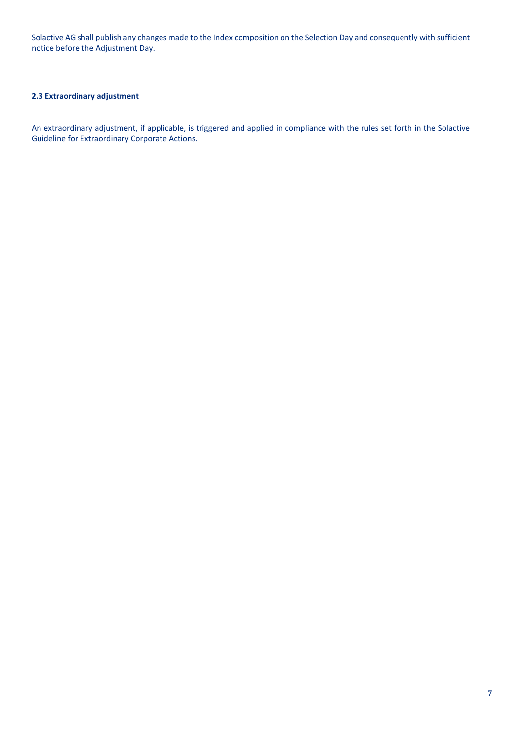Solactive AG shall publish any changes made to the Index composition on the Selection Day and consequently with sufficient notice before the Adjustment Day.

# **2.3 Extraordinary adjustment**

An extraordinary adjustment, if applicable, is triggered and applied in compliance with the rules set forth in the Solactive Guideline for Extraordinary Corporate Actions.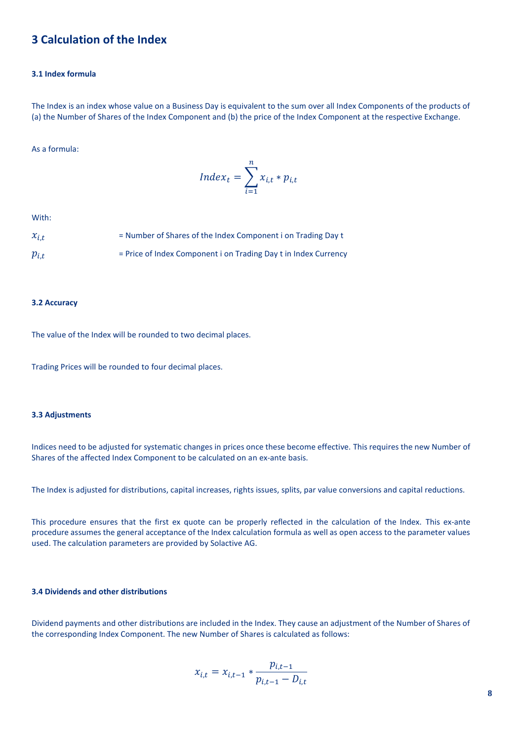# **3 Calculation of the Index**

# **3.1 Index formula**

The Index is an index whose value on a Business Day is equivalent to the sum over all Index Components of the products of (a) the Number of Shares of the Index Component and (b) the price of the Index Component at the respective Exchange.

# As a formula:

$$
Index_t = \sum_{i=1}^{n} x_{i,t} * p_{i,t}
$$

With:

| $x_{i,t}$ | = Number of Shares of the Index Component i on Trading Day t    |
|-----------|-----------------------------------------------------------------|
| $p_{i,t}$ | = Price of Index Component i on Trading Day t in Index Currency |

#### **3.2 Accuracy**

The value of the Index will be rounded to two decimal places.

Trading Prices will be rounded to four decimal places.

### **3.3 Adjustments**

Indices need to be adjusted for systematic changes in prices once these become effective. This requires the new Number of Shares of the affected Index Component to be calculated on an ex-ante basis.

The Index is adjusted for distributions, capital increases, rights issues, splits, par value conversions and capital reductions.

This procedure ensures that the first ex quote can be properly reflected in the calculation of the Index. This ex-ante procedure assumes the general acceptance of the Index calculation formula as well as open access to the parameter values used. The calculation parameters are provided by Solactive AG.

# **3.4 Dividends and other distributions**

Dividend payments and other distributions are included in the Index. They cause an adjustment of the Number of Shares of the corresponding Index Component. The new Number of Shares is calculated as follows:

$$
x_{i,t} = x_{i,t-1} * \frac{p_{i,t-1}}{p_{i,t-1} - D_{i,t}}
$$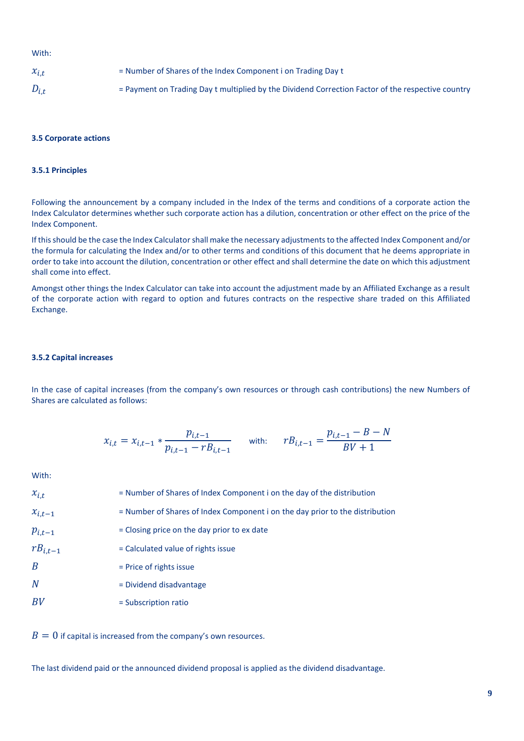### With:

| $x_{i,t}$ | = Number of Shares of the Index Component i on Trading Day t                                      |
|-----------|---------------------------------------------------------------------------------------------------|
| $D_{i,t}$ | = Payment on Trading Day t multiplied by the Dividend Correction Factor of the respective country |

#### **3.5 Corporate actions**

# **3.5.1 Principles**

Following the announcement by a company included in the Index of the terms and conditions of a corporate action the Index Calculator determines whether such corporate action has a dilution, concentration or other effect on the price of the Index Component.

If this should be the case the Index Calculator shall make the necessary adjustments to the affected Index Component and/or the formula for calculating the Index and/or to other terms and conditions of this document that he deems appropriate in order to take into account the dilution, concentration or other effect and shall determine the date on which this adjustment shall come into effect.

Amongst other things the Index Calculator can take into account the adjustment made by an Affiliated Exchange as a result of the corporate action with regard to option and futures contracts on the respective share traded on this Affiliated Exchange.

### **3.5.2 Capital increases**

In the case of capital increases (from the company's own resources or through cash contributions) the new Numbers of Shares are calculated as follows:

$$
x_{i,t} = x_{i,t-1} * \frac{p_{i,t-1}}{p_{i,t-1} - rB_{i,t-1}} \quad \text{with:} \quad rB_{i,t-1} = \frac{p_{i,t-1} - B - N}{BV + 1}
$$

With:

| $x_{i,t}$        | = Number of Shares of Index Component i on the day of the distribution       |
|------------------|------------------------------------------------------------------------------|
| $x_{i,t-1}$      | = Number of Shares of Index Component i on the day prior to the distribution |
| $p_{i,t-1}$      | = Closing price on the day prior to ex date                                  |
| $rB_{i,t-1}$     | = Calculated value of rights issue                                           |
| $\boldsymbol{B}$ | $=$ Price of rights issue                                                    |
| $\overline{N}$   | = Dividend disadvantage                                                      |
| BV               | $=$ Subscription ratio                                                       |

 $B = 0$  if capital is increased from the company's own resources.

The last dividend paid or the announced dividend proposal is applied as the dividend disadvantage.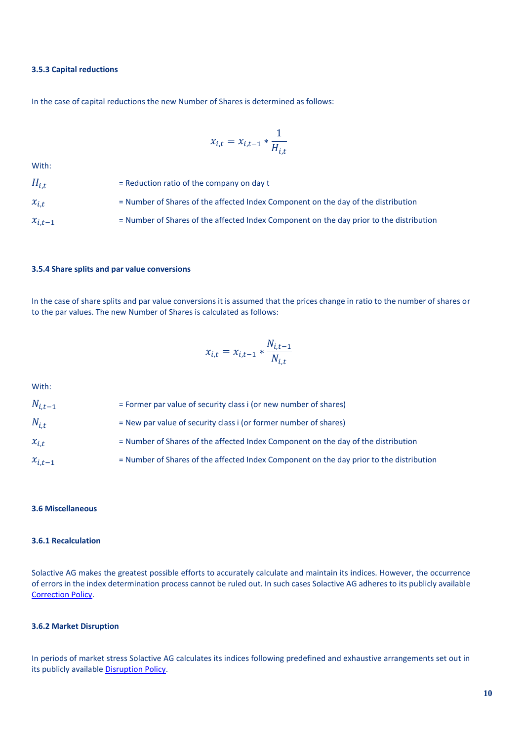### **3.5.3 Capital reductions**

In the case of capital reductions the new Number of Shares is determined as follows:

$$
x_{i,t} = x_{i,t-1} * \frac{1}{H_{i,t}}
$$

With:

| $H_{i,t}$   | $=$ Reduction ratio of the company on day t                                             |
|-------------|-----------------------------------------------------------------------------------------|
| $x_{i,t}$   | = Number of Shares of the affected Index Component on the day of the distribution       |
| $x_{i,t-1}$ | = Number of Shares of the affected Index Component on the day prior to the distribution |

### **3.5.4 Share splits and par value conversions**

In the case of share splits and par value conversions it is assumed that the prices change in ratio to the number of shares or to the par values. The new Number of Shares is calculated as follows:

$$
x_{i,t} = x_{i,t-1} * \frac{N_{i,t-1}}{N_{i,t}}
$$

With:

| $N_{i,t-1}$ | $=$ Former par value of security class i (or new number of shares)                      |
|-------------|-----------------------------------------------------------------------------------------|
| $N_{i.t}$   | = New par value of security class i (or former number of shares)                        |
| $x_{i.t.}$  | = Number of Shares of the affected Index Component on the day of the distribution       |
| $x_{i,t-1}$ | = Number of Shares of the affected Index Component on the day prior to the distribution |

### **3.6 Miscellaneous**

### **3.6.1 Recalculation**

Solactive AG makes the greatest possible efforts to accurately calculate and maintain its indices. However, the occurrence of errors in the index determination process cannot be ruled out. In such cases Solactive AG adheres to its publicly available [Correction Policy.](http://www.solactive.com/news/documents/)

#### **3.6.2 Market Disruption**

In periods of market stress Solactive AG calculates its indices following predefined and exhaustive arrangements set out in its publicly availabl[e Disruption Policy.](http://www.solactive.com/news/documents/)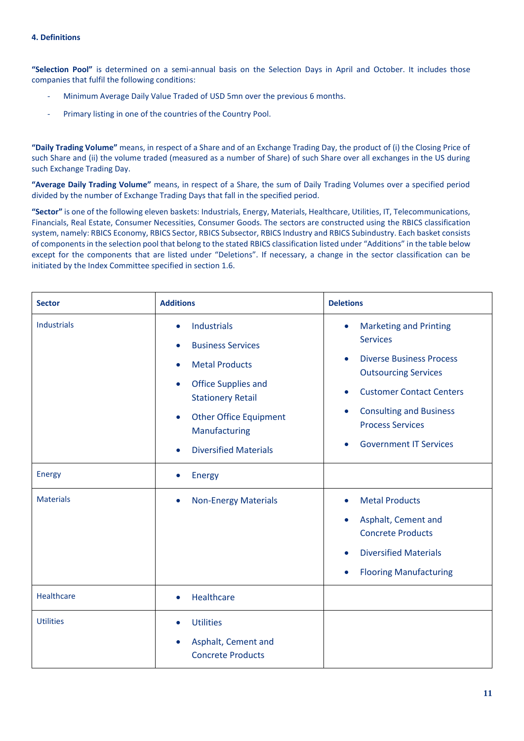**"Selection Pool"** is determined on a semi-annual basis on the Selection Days in April and October. It includes those companies that fulfil the following conditions:

- Minimum Average Daily Value Traded of USD 5mn over the previous 6 months.
- Primary listing in one of the countries of the Country Pool.

**"Daily Trading Volume"** means, in respect of a Share and of an Exchange Trading Day, the product of (i) the Closing Price of such Share and (ii) the volume traded (measured as a number of Share) of such Share over all exchanges in the US during such Exchange Trading Day.

**"Average Daily Trading Volume"** means, in respect of a Share, the sum of Daily Trading Volumes over a specified period divided by the number of Exchange Trading Days that fall in the specified period.

**"Sector"** is one of the following eleven baskets: Industrials, Energy, Materials, Healthcare, Utilities, IT, Telecommunications, Financials, Real Estate, Consumer Necessities, Consumer Goods. The sectors are constructed using the RBICS classification system, namely: RBICS Economy, RBICS Sector, RBICS Subsector, RBICS Industry and RBICS Subindustry. Each basket consists of components in the selection pool that belong to the stated RBICS classification listed under "Additions" in the table below except for the components that are listed under "Deletions". If necessary, a change in the sector classification can be initiated by the Index Committee specified in section 1.6.

| <b>Sector</b>      | <b>Additions</b>                                                                                                                                                                                                                                                 | <b>Deletions</b>                                                                                                                                                                                                                                                      |
|--------------------|------------------------------------------------------------------------------------------------------------------------------------------------------------------------------------------------------------------------------------------------------------------|-----------------------------------------------------------------------------------------------------------------------------------------------------------------------------------------------------------------------------------------------------------------------|
| <b>Industrials</b> | Industrials<br>$\bullet$<br><b>Business Services</b><br><b>Metal Products</b><br>$\bullet$<br><b>Office Supplies and</b><br>$\bullet$<br><b>Stationery Retail</b><br><b>Other Office Equipment</b><br>$\bullet$<br>Manufacturing<br><b>Diversified Materials</b> | <b>Marketing and Printing</b><br>$\bullet$<br><b>Services</b><br><b>Diverse Business Process</b><br><b>Outsourcing Services</b><br><b>Customer Contact Centers</b><br><b>Consulting and Business</b><br><b>Process Services</b><br><b>Government IT Services</b><br>٠ |
| Energy             | Energy<br>$\bullet$                                                                                                                                                                                                                                              |                                                                                                                                                                                                                                                                       |
| <b>Materials</b>   | <b>Non-Energy Materials</b><br>$\bullet$                                                                                                                                                                                                                         | <b>Metal Products</b><br>٠<br>Asphalt, Cement and<br><b>Concrete Products</b><br><b>Diversified Materials</b><br><b>Flooring Manufacturing</b><br>٠                                                                                                                   |
| Healthcare         | Healthcare                                                                                                                                                                                                                                                       |                                                                                                                                                                                                                                                                       |
| <b>Utilities</b>   | <b>Utilities</b><br>Asphalt, Cement and<br><b>Concrete Products</b>                                                                                                                                                                                              |                                                                                                                                                                                                                                                                       |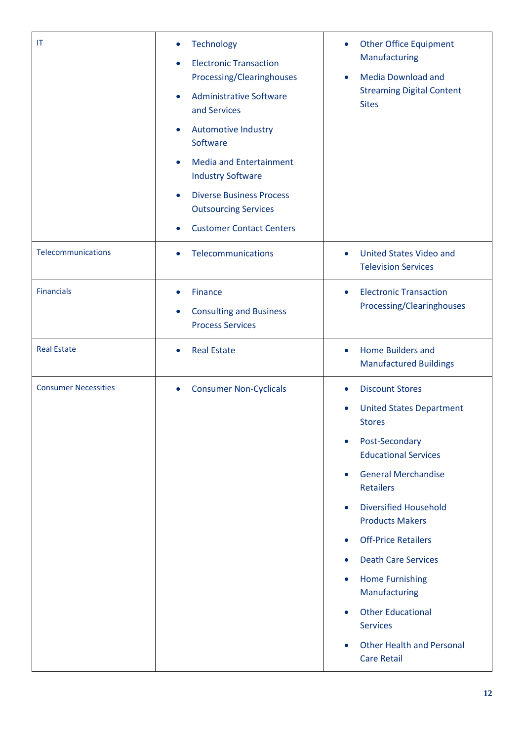| IT                          | <b>Technology</b><br>$\bullet$<br><b>Electronic Transaction</b><br>$\bullet$<br>Processing/Clearinghouses<br><b>Administrative Software</b><br>$\bullet$<br>and Services<br><b>Automotive Industry</b><br>$\bullet$<br>Software<br><b>Media and Entertainment</b><br>$\bullet$<br><b>Industry Software</b><br><b>Diverse Business Process</b><br>$\bullet$<br><b>Outsourcing Services</b><br><b>Customer Contact Centers</b><br>$\bullet$ | <b>Other Office Equipment</b><br>$\bullet$<br>Manufacturing<br><b>Media Download and</b><br>$\bullet$<br><b>Streaming Digital Content</b><br><b>Sites</b>                                                                                                                                                                                                                                                                                                                                                                                                            |
|-----------------------------|-------------------------------------------------------------------------------------------------------------------------------------------------------------------------------------------------------------------------------------------------------------------------------------------------------------------------------------------------------------------------------------------------------------------------------------------|----------------------------------------------------------------------------------------------------------------------------------------------------------------------------------------------------------------------------------------------------------------------------------------------------------------------------------------------------------------------------------------------------------------------------------------------------------------------------------------------------------------------------------------------------------------------|
| Telecommunications          | Telecommunications<br>$\bullet$                                                                                                                                                                                                                                                                                                                                                                                                           | <b>United States Video and</b><br>$\bullet$<br><b>Television Services</b>                                                                                                                                                                                                                                                                                                                                                                                                                                                                                            |
| <b>Financials</b>           | <b>Finance</b><br>$\bullet$<br><b>Consulting and Business</b><br>$\bullet$<br><b>Process Services</b>                                                                                                                                                                                                                                                                                                                                     | <b>Electronic Transaction</b><br>$\bullet$<br>Processing/Clearinghouses                                                                                                                                                                                                                                                                                                                                                                                                                                                                                              |
| <b>Real Estate</b>          | <b>Real Estate</b><br>$\bullet$                                                                                                                                                                                                                                                                                                                                                                                                           | Home Builders and<br>$\bullet$<br><b>Manufactured Buildings</b>                                                                                                                                                                                                                                                                                                                                                                                                                                                                                                      |
| <b>Consumer Necessities</b> | <b>Consumer Non-Cyclicals</b><br>$\bullet$                                                                                                                                                                                                                                                                                                                                                                                                | <b>Discount Stores</b><br>$\bullet$<br><b>United States Department</b><br><b>Stores</b><br>Post-Secondary<br>$\bullet$<br><b>Educational Services</b><br><b>General Merchandise</b><br>$\bullet$<br><b>Retailers</b><br><b>Diversified Household</b><br>$\bullet$<br><b>Products Makers</b><br><b>Off-Price Retailers</b><br>$\bullet$<br><b>Death Care Services</b><br>$\bullet$<br><b>Home Furnishing</b><br>۰<br>Manufacturing<br><b>Other Educational</b><br>$\bullet$<br><b>Services</b><br><b>Other Health and Personal</b><br>$\bullet$<br><b>Care Retail</b> |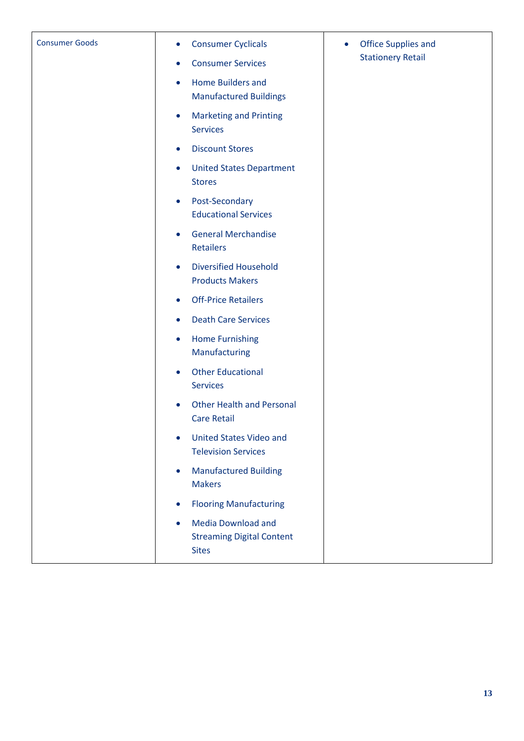| <b>Consumer Goods</b> | <b>Consumer Cyclicals</b><br>$\bullet$                                                     | Office Supplies and<br>۰<br><b>Stationery Retail</b> |
|-----------------------|--------------------------------------------------------------------------------------------|------------------------------------------------------|
|                       | <b>Consumer Services</b><br>$\bullet$                                                      |                                                      |
|                       | Home Builders and<br>$\bullet$                                                             |                                                      |
|                       | <b>Manufactured Buildings</b>                                                              |                                                      |
|                       | <b>Marketing and Printing</b><br>$\bullet$<br><b>Services</b>                              |                                                      |
|                       | <b>Discount Stores</b><br>$\bullet$                                                        |                                                      |
|                       | <b>United States Department</b><br>$\bullet$<br><b>Stores</b>                              |                                                      |
|                       | Post-Secondary<br>$\bullet$<br><b>Educational Services</b>                                 |                                                      |
|                       | <b>General Merchandise</b><br>$\bullet$<br><b>Retailers</b>                                |                                                      |
|                       | <b>Diversified Household</b><br>$\bullet$<br><b>Products Makers</b>                        |                                                      |
|                       | <b>Off-Price Retailers</b><br>$\bullet$                                                    |                                                      |
|                       | <b>Death Care Services</b><br>$\bullet$                                                    |                                                      |
|                       | <b>Home Furnishing</b><br>$\bullet$<br>Manufacturing                                       |                                                      |
|                       | <b>Other Educational</b><br>$\bullet$<br><b>Services</b>                                   |                                                      |
|                       | <b>Other Health and Personal</b><br><b>Care Retail</b>                                     |                                                      |
|                       | <b>United States Video and</b><br>$\bullet$<br><b>Television Services</b>                  |                                                      |
|                       | <b>Manufactured Building</b><br>$\bullet$<br><b>Makers</b>                                 |                                                      |
|                       | <b>Flooring Manufacturing</b><br>$\bullet$                                                 |                                                      |
|                       | <b>Media Download and</b><br>$\bullet$<br><b>Streaming Digital Content</b><br><b>Sites</b> |                                                      |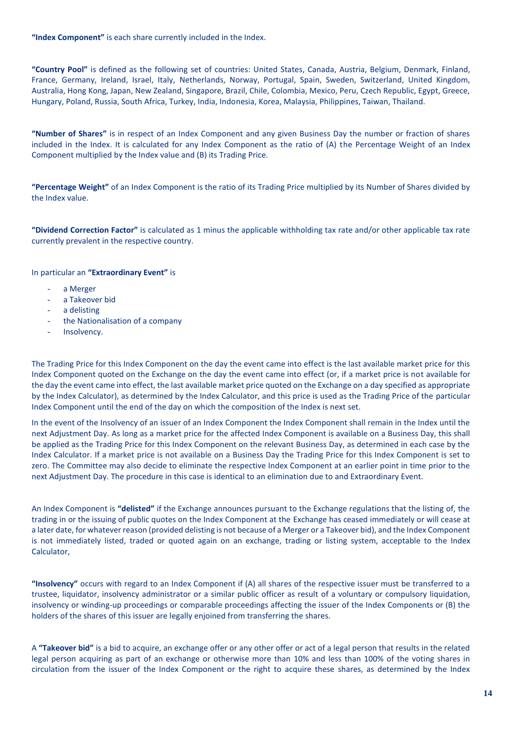**"Index Component"** is each share currently included in the Index.

**"Country Pool"** is defined as the following set of countries: United States, Canada, Austria, Belgium, Denmark, Finland, France, Germany, Ireland, Israel, Italy, Netherlands, Norway, Portugal, Spain, Sweden, Switzerland, United Kingdom, Australia, Hong Kong, Japan, New Zealand, Singapore, Brazil, Chile, Colombia, Mexico, Peru, Czech Republic, Egypt, Greece, Hungary, Poland, Russia, South Africa, Turkey, India, Indonesia, Korea, Malaysia, Philippines, Taiwan, Thailand.

**"Number of Shares"** is in respect of an Index Component and any given Business Day the number or fraction of shares included in the Index. It is calculated for any Index Component as the ratio of (A) the Percentage Weight of an Index Component multiplied by the Index value and (B) its Trading Price.

**"Percentage Weight"** of an Index Component is the ratio of its Trading Price multiplied by its Number of Shares divided by the Index value.

**"Dividend Correction Factor"** is calculated as 1 minus the applicable withholding tax rate and/or other applicable tax rate currently prevalent in the respective country.

# In particular an **"Extraordinary Event"** is

- a Merger
- a Takeover bid
- a delisting
- the Nationalisation of a company
- Insolvency.

The Trading Price for this Index Component on the day the event came into effect is the last available market price for this Index Component quoted on the Exchange on the day the event came into effect (or, if a market price is not available for the day the event came into effect, the last available market price quoted on the Exchange on a day specified as appropriate by the Index Calculator), as determined by the Index Calculator, and this price is used as the Trading Price of the particular Index Component until the end of the day on which the composition of the Index is next set.

In the event of the Insolvency of an issuer of an Index Component the Index Component shall remain in the Index until the next Adjustment Day. As long as a market price for the affected Index Component is available on a Business Day, this shall be applied as the Trading Price for this Index Component on the relevant Business Day, as determined in each case by the Index Calculator. If a market price is not available on a Business Day the Trading Price for this Index Component is set to zero. The Committee may also decide to eliminate the respective Index Component at an earlier point in time prior to the next Adjustment Day. The procedure in this case is identical to an elimination due to and Extraordinary Event.

An Index Component is **"delisted"** if the Exchange announces pursuant to the Exchange regulations that the listing of, the trading in or the issuing of public quotes on the Index Component at the Exchange has ceased immediately or will cease at a later date, for whatever reason (provided delisting is not because of a Merger or a Takeover bid), and the Index Component is not immediately listed, traded or quoted again on an exchange, trading or listing system, acceptable to the Index Calculator,

**"Insolvency"** occurs with regard to an Index Component if (A) all shares of the respective issuer must be transferred to a trustee, liquidator, insolvency administrator or a similar public officer as result of a voluntary or compulsory liquidation, insolvency or winding-up proceedings or comparable proceedings affecting the issuer of the Index Components or (B) the holders of the shares of this issuer are legally enjoined from transferring the shares.

A **"Takeover bid"** is a bid to acquire, an exchange offer or any other offer or act of a legal person that results in the related legal person acquiring as part of an exchange or otherwise more than 10% and less than 100% of the voting shares in circulation from the issuer of the Index Component or the right to acquire these shares, as determined by the Index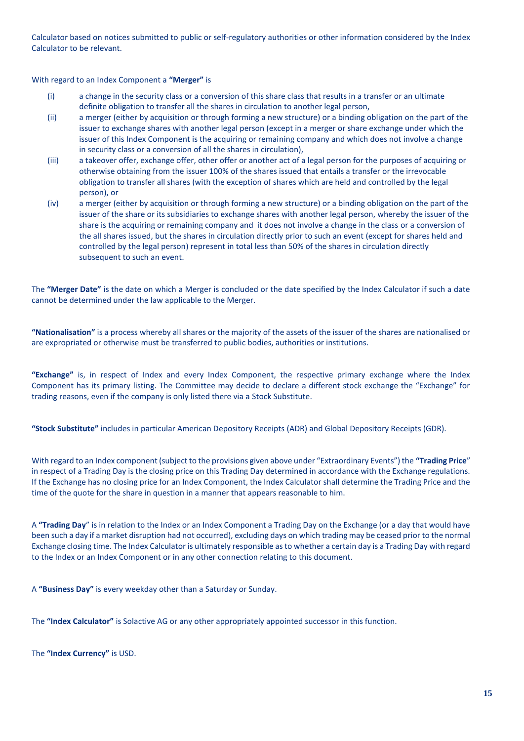Calculator based on notices submitted to public or self-regulatory authorities or other information considered by the Index Calculator to be relevant.

With regard to an Index Component a **"Merger"** is

- (i) a change in the security class or a conversion of this share class that results in a transfer or an ultimate definite obligation to transfer all the shares in circulation to another legal person,
- (ii) a merger (either by acquisition or through forming a new structure) or a binding obligation on the part of the issuer to exchange shares with another legal person (except in a merger or share exchange under which the issuer of this Index Component is the acquiring or remaining company and which does not involve a change in security class or a conversion of all the shares in circulation),
- (iii) a takeover offer, exchange offer, other offer or another act of a legal person for the purposes of acquiring or otherwise obtaining from the issuer 100% of the shares issued that entails a transfer or the irrevocable obligation to transfer all shares (with the exception of shares which are held and controlled by the legal person), or
- (iv) a merger (either by acquisition or through forming a new structure) or a binding obligation on the part of the issuer of the share or its subsidiaries to exchange shares with another legal person, whereby the issuer of the share is the acquiring or remaining company and it does not involve a change in the class or a conversion of the all shares issued, but the shares in circulation directly prior to such an event (except for shares held and controlled by the legal person) represent in total less than 50% of the shares in circulation directly subsequent to such an event.

The **"Merger Date"** is the date on which a Merger is concluded or the date specified by the Index Calculator if such a date cannot be determined under the law applicable to the Merger.

**"Nationalisation"** is a process whereby all shares or the majority of the assets of the issuer of the shares are nationalised or are expropriated or otherwise must be transferred to public bodies, authorities or institutions.

**"Exchange"** is, in respect of Index and every Index Component, the respective primary exchange where the Index Component has its primary listing. The Committee may decide to declare a different stock exchange the "Exchange" for trading reasons, even if the company is only listed there via a Stock Substitute.

**"Stock Substitute"** includes in particular American Depository Receipts (ADR) and Global Depository Receipts (GDR).

With regard to an Index component (subject to the provisions given above under "Extraordinary Events") the **"Trading Price**" in respect of a Trading Day is the closing price on this Trading Day determined in accordance with the Exchange regulations. If the Exchange has no closing price for an Index Component, the Index Calculator shall determine the Trading Price and the time of the quote for the share in question in a manner that appears reasonable to him.

A **"Trading Day**" is in relation to the Index or an Index Component a Trading Day on the Exchange (or a day that would have been such a day if a market disruption had not occurred), excluding days on which trading may be ceased prior to the normal Exchange closing time. The Index Calculator is ultimately responsible as to whether a certain day is a Trading Day with regard to the Index or an Index Component or in any other connection relating to this document.

A **"Business Day"** is every weekday other than a Saturday or Sunday.

The **"Index Calculator"** is Solactive AG or any other appropriately appointed successor in this function.

The **"Index Currency"** is USD.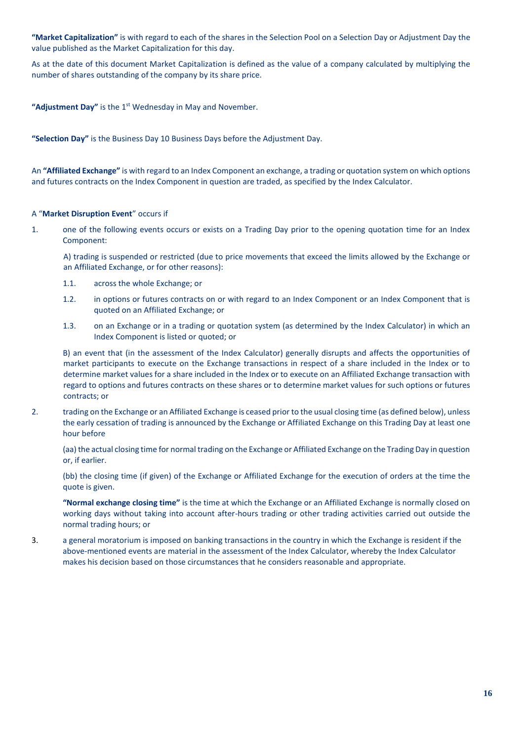**"Market Capitalization"** is with regard to each of the shares in the Selection Pool on a Selection Day or Adjustment Day the value published as the Market Capitalization for this day.

As at the date of this document Market Capitalization is defined as the value of a company calculated by multiplying the number of shares outstanding of the company by its share price.

"Adjustment Day" is the 1<sup>st</sup> Wednesday in May and November.

**"Selection Day"** is the Business Day 10 Business Days before the Adjustment Day.

An **"Affiliated Exchange"** is with regard to an Index Component an exchange, a trading or quotation system on which options and futures contracts on the Index Component in question are traded, as specified by the Index Calculator.

# A "**Market Disruption Event**" occurs if

1. one of the following events occurs or exists on a Trading Day prior to the opening quotation time for an Index Component:

A) trading is suspended or restricted (due to price movements that exceed the limits allowed by the Exchange or an Affiliated Exchange, or for other reasons):

- 1.1. across the whole Exchange; or
- 1.2. in options or futures contracts on or with regard to an Index Component or an Index Component that is quoted on an Affiliated Exchange; or
- 1.3. on an Exchange or in a trading or quotation system (as determined by the Index Calculator) in which an Index Component is listed or quoted; or

B) an event that (in the assessment of the Index Calculator) generally disrupts and affects the opportunities of market participants to execute on the Exchange transactions in respect of a share included in the Index or to determine market values for a share included in the Index or to execute on an Affiliated Exchange transaction with regard to options and futures contracts on these shares or to determine market values for such options or futures contracts; or

2. trading on the Exchange or an Affiliated Exchange is ceased prior to the usual closing time (as defined below), unless the early cessation of trading is announced by the Exchange or Affiliated Exchange on this Trading Day at least one hour before

(aa) the actual closing time for normal trading on the Exchange or Affiliated Exchange on the Trading Day in question or, if earlier.

(bb) the closing time (if given) of the Exchange or Affiliated Exchange for the execution of orders at the time the quote is given.

**"Normal exchange closing time"** is the time at which the Exchange or an Affiliated Exchange is normally closed on working days without taking into account after-hours trading or other trading activities carried out outside the normal trading hours; or

3. a general moratorium is imposed on banking transactions in the country in which the Exchange is resident if the above-mentioned events are material in the assessment of the Index Calculator, whereby the Index Calculator makes his decision based on those circumstances that he considers reasonable and appropriate.